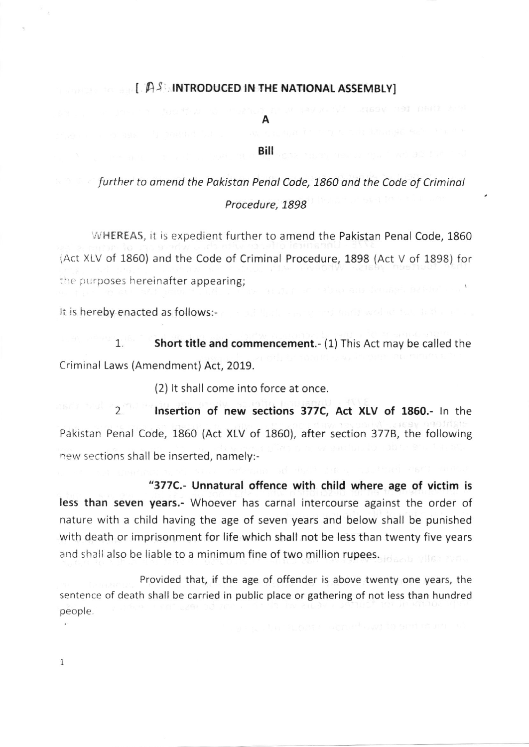## $[$   $A$ <sup>S</sup> INTRODUCED IN THE NATIONAL ASSEMBLY]

A

## Biil

further to amend the Pakistan Penal Code, 1860 and the Code of Criminal Procedure, 1898

WHEREAS, it is expedient further to amend the Pakistan Penal Code, 1860 (Act XLV of 1860) and the Code of Criminal Procedure, 1898 (Act V of 1898) for the purposes hereinafter appearing;

It is hereby enacted as follows:-

1. Short title and commencement.- (1) This Act may be called the Criminal Laws (Amendment) Act, 2019.

(2) lt shall come into force at once.

2 lnsertion of new sections 377C, Act XLV of 1850.- ln the Pakistan Penal Code, 1860 (Act XLV of 1860), after section 3778, the following new sections shall be inserted, namely:-

"377C.- Unnatural offence with child where age of victim is less than seven years.- Whoever has carnal intercourse against the order of nature with a child having the age of seven years and below shall be punished with death or imprisonment for life which shall not be less than twenty five years and shall also be liable to a minimum fine of two million rupees.

Provided that, if the age of offender is above twenty one years, the sentence of death shall be carried in public place or gathering of not less than hundred people

I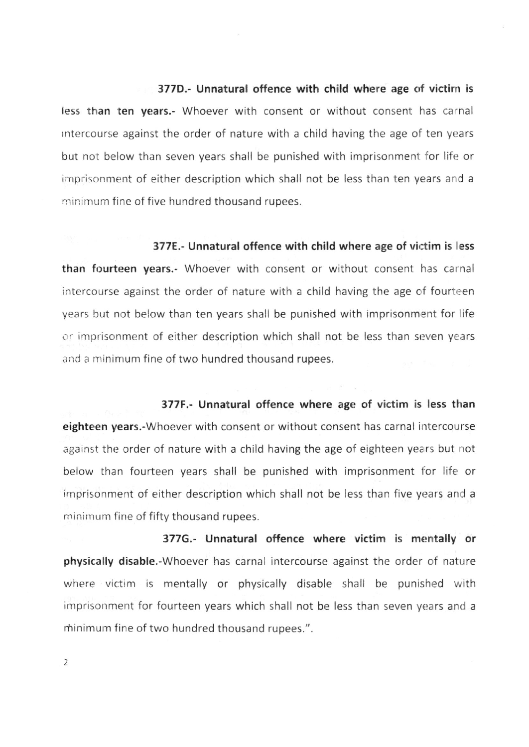## 377D.- Unnatural offence with child where age of victim is

less than ten years.- Whoever with consent or without consent has carnal rntercourse against the order of nature with a child having the age of ten years but not below than seven years shall be punished with imprisonment for life or imprisonment of either description which shall not be less than ten years and <sup>a</sup> minimum fine of five hundred thousand rupees.

377E.- Unnatural offence with child where age of victim is less than fourteen years.- Whoever with consent or without consent has carnal intercourse against the order of nature with a child having the age of fourteen years but not below than ten years shall be punished with imprisonment for life or imprisonment of either description which shall not be less than seven years and a minimum fine of two hundred thousand rupees.

377F.- Unnatural offence where age of victim is less than eighteen years.-Whoever with consent or without consent has carnal intercourse against the order of nature with a child having the age of eighteen years but not below than fourteen years shall be punished with imprisonment for life or imprisonment of either description which shall not be less than five years and a minimum fine of fifty thousand rupees.

377G.- Unnatural offence where victim is merntally or physically disable.-Whoever has carnal intercourse against the order of nature where victim is mentally or physically disable shall be punished with imprisonment for fourteen years which shall not be less than seven years and <sup>a</sup> minimum fine of two hundred thousand rupees.".

2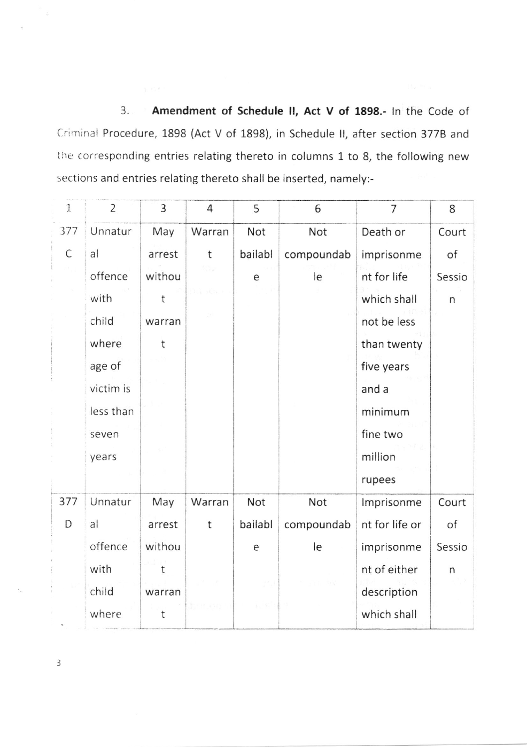Amendment of Schedule II, Act V of 1898.- In the Code of  $3.5$ Criminal Procedure, 1898 (Act V of 1898), in Schedule II, after section 377B and the corresponding entries relating thereto in columns 1 to 8, the following new sections and entries relating thereto shall be inserted, namely:-

| $\mathbf{1}$ | $\overline{2}$ | 3      | 4      | 5       | 6          | 7              | 8            |
|--------------|----------------|--------|--------|---------|------------|----------------|--------------|
| 377          | Unnatur        | May    | Warran | Not     | Not        | Death or       | Court        |
| C            | a              | arrest | t      | bailabl | compoundab | imprisonme     | of           |
|              | offence        | withou |        | e       | le         | nt for life    | Sessio       |
|              | with           | t      |        |         |            | which shall    | n            |
|              | child          | warran |        |         |            | not be less    |              |
|              | where          | t      |        |         |            | than twenty    |              |
|              | age of         |        |        |         |            | five years     |              |
|              | victim is      |        |        |         |            | and a          |              |
|              | less than      |        |        |         |            | minimum        |              |
|              | seven          |        |        |         |            | fine two       |              |
|              | years          |        |        |         |            | million        |              |
|              |                |        |        |         |            | rupees         |              |
| 377          | Unnatur        | May    | Warran | Not     | Not        | Imprisonme     | Court        |
| D            | a              | arrest | t      | bailabl | compoundab | nt for life or | of           |
|              | offence        | withou |        | е       | le         | imprisonme     | Sessio       |
|              | with           | t      |        |         |            | nt of either   | $\mathsf{n}$ |
|              | child          | warran |        |         |            | description    |              |
|              | where          | t      |        |         |            | which shall    |              |

 $\mathfrak{Z}$